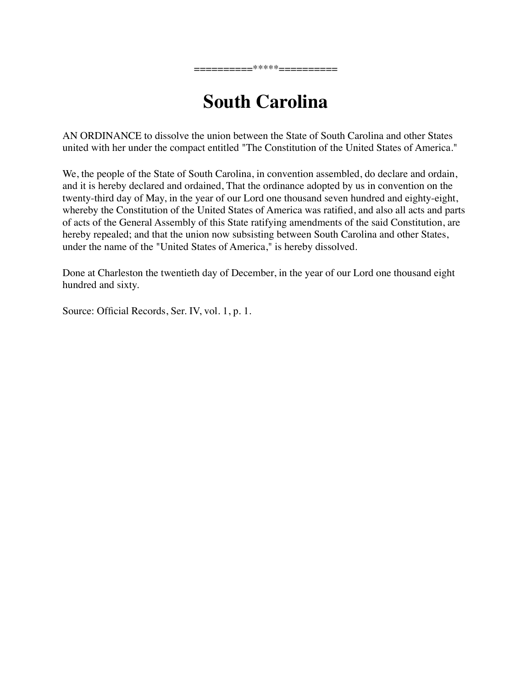# **South Carolina**

AN ORDINANCE to dissolve the union between the State of South Carolina and other States united with her under the compact entitled "The Constitution of the United States of America."

We, the people of the State of South Carolina, in convention assembled, do declare and ordain, and it is hereby declared and ordained, That the ordinance adopted by us in convention on the twenty-third day of May, in the year of our Lord one thousand seven hundred and eighty-eight, whereby the Constitution of the United States of America was ratified, and also all acts and parts of acts of the General Assembly of this State ratifying amendments of the said Constitution, are hereby repealed; and that the union now subsisting between South Carolina and other States, under the name of the "United States of America," is hereby dissolved.

Done at Charleston the twentieth day of December, in the year of our Lord one thousand eight hundred and sixty.

Source: Official Records, Ser. IV, vol. 1, p. 1.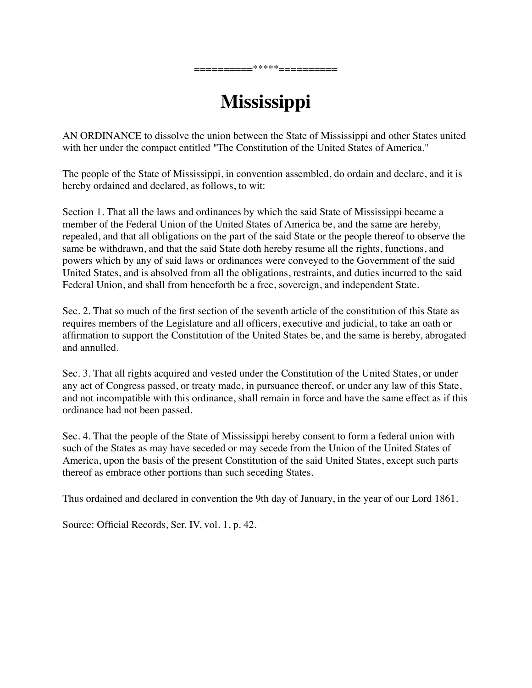==========\*\*\*\*\*==========

AN ORDINANCE to dissolve the union between the State of Mississippi and other States united with her under the compact entitled "The Constitution of the United States of America."

The people of the State of Mississippi, in convention assembled, do ordain and declare, and it is hereby ordained and declared, as follows, to wit:

Section 1. That all the laws and ordinances by which the said State of Mississippi became a member of the Federal Union of the United States of America be, and the same are hereby, repealed, and that all obligations on the part of the said State or the people thereof to observe the same be withdrawn, and that the said State doth hereby resume all the rights, functions, and powers which by any of said laws or ordinances were conveyed to the Government of the said United States, and is absolved from all the obligations, restraints, and duties incurred to the said Federal Union, and shall from henceforth be a free, sovereign, and independent State.

Sec. 2. That so much of the first section of the seventh article of the constitution of this State as requires members of the Legislature and all officers, executive and judicial, to take an oath or affirmation to support the Constitution of the United States be, and the same is hereby, abrogated and annulled.

Sec. 3. That all rights acquired and vested under the Constitution of the United States, or under any act of Congress passed, or treaty made, in pursuance thereof, or under any law of this State, and not incompatible with this ordinance, shall remain in force and have the same effect as if this ordinance had not been passed.

Sec. 4. That the people of the State of Mississippi hereby consent to form a federal union with such of the States as may have seceded or may secede from the Union of the United States of America, upon the basis of the present Constitution of the said United States, except such parts thereof as embrace other portions than such seceding States.

Thus ordained and declared in convention the 9th day of January, in the year of our Lord 1861.

Source: Official Records, Ser. IV, vol. 1, p. 42.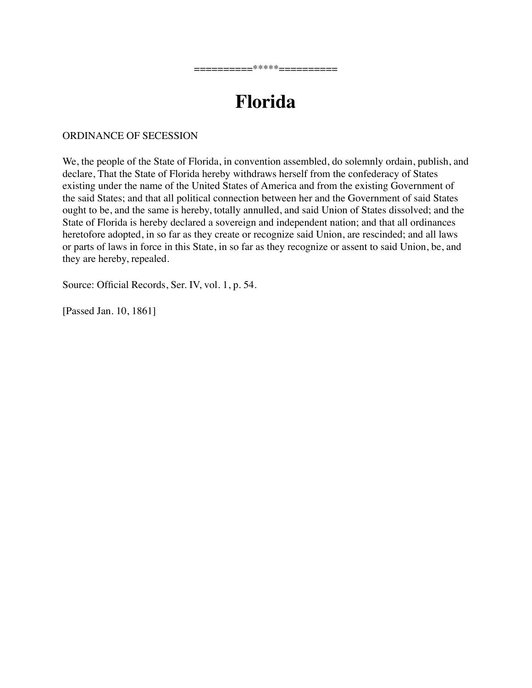# **Florida**

==========\*\*\*\*\*==========

#### ORDINANCE OF SECESSION

We, the people of the State of Florida, in convention assembled, do solemnly ordain, publish, and declare, That the State of Florida hereby withdraws herself from the confederacy of States existing under the name of the United States of America and from the existing Government of the said States; and that all political connection between her and the Government of said States ought to be, and the same is hereby, totally annulled, and said Union of States dissolved; and the State of Florida is hereby declared a sovereign and independent nation; and that all ordinances heretofore adopted, in so far as they create or recognize said Union, are rescinded; and all laws or parts of laws in force in this State, in so far as they recognize or assent to said Union, be, and they are hereby, repealed.

Source: Official Records, Ser. IV, vol. 1, p. 54.

[Passed Jan. 10, 1861]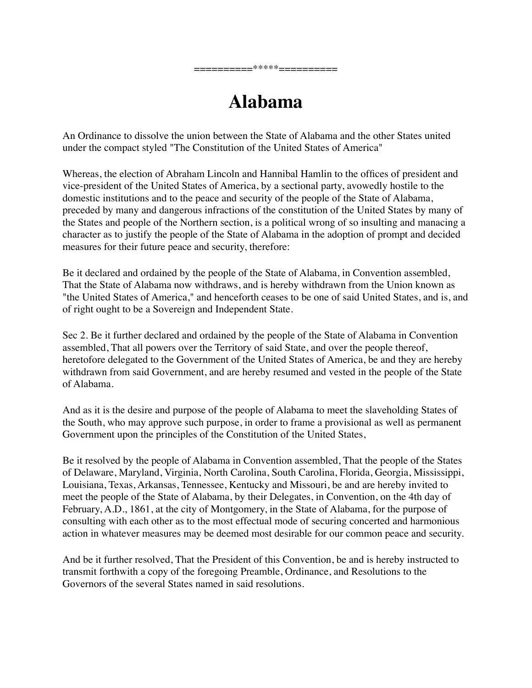===========\*\*\*\*\*<sub>===========</sub>

An Ordinance to dissolve the union between the State of Alabama and the other States united under the compact styled "The Constitution of the United States of America"

Whereas, the election of Abraham Lincoln and Hannibal Hamlin to the offices of president and vice-president of the United States of America, by a sectional party, avowedly hostile to the domestic institutions and to the peace and security of the people of the State of Alabama, preceded by many and dangerous infractions of the constitution of the United States by many of the States and people of the Northern section, is a political wrong of so insulting and manacing a character as to justify the people of the State of Alabama in the adoption of prompt and decided measures for their future peace and security, therefore:

Be it declared and ordained by the people of the State of Alabama, in Convention assembled, That the State of Alabama now withdraws, and is hereby withdrawn from the Union known as "the United States of America," and henceforth ceases to be one of said United States, and is, and of right ought to be a Sovereign and Independent State.

Sec 2. Be it further declared and ordained by the people of the State of Alabama in Convention assembled, That all powers over the Territory of said State, and over the people thereof, heretofore delegated to the Government of the United States of America, be and they are hereby withdrawn from said Government, and are hereby resumed and vested in the people of the State of Alabama.

And as it is the desire and purpose of the people of Alabama to meet the slaveholding States of the South, who may approve such purpose, in order to frame a provisional as well as permanent Government upon the principles of the Constitution of the United States,

Be it resolved by the people of Alabama in Convention assembled, That the people of the States of Delaware, Maryland, Virginia, North Carolina, South Carolina, Florida, Georgia, Mississippi, Louisiana, Texas, Arkansas, Tennessee, Kentucky and Missouri, be and are hereby invited to meet the people of the State of Alabama, by their Delegates, in Convention, on the 4th day of February, A.D., 1861, at the city of Montgomery, in the State of Alabama, for the purpose of consulting with each other as to the most effectual mode of securing concerted and harmonious action in whatever measures may be deemed most desirable for our common peace and security.

And be it further resolved, That the President of this Convention, be and is hereby instructed to transmit forthwith a copy of the foregoing Preamble, Ordinance, and Resolutions to the Governors of the several States named in said resolutions.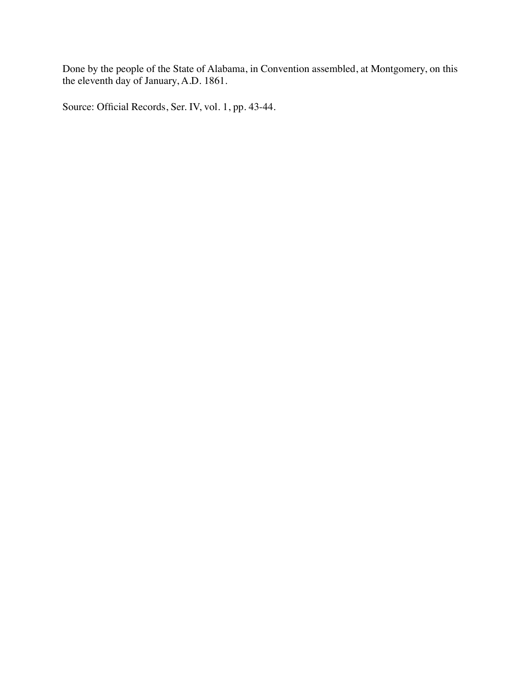Done by the people of the State of Alabama, in Convention assembled, at Montgomery, on this the eleventh day of January, A.D. 1861.

Source: Official Records, Ser. IV, vol. 1, pp. 43-44.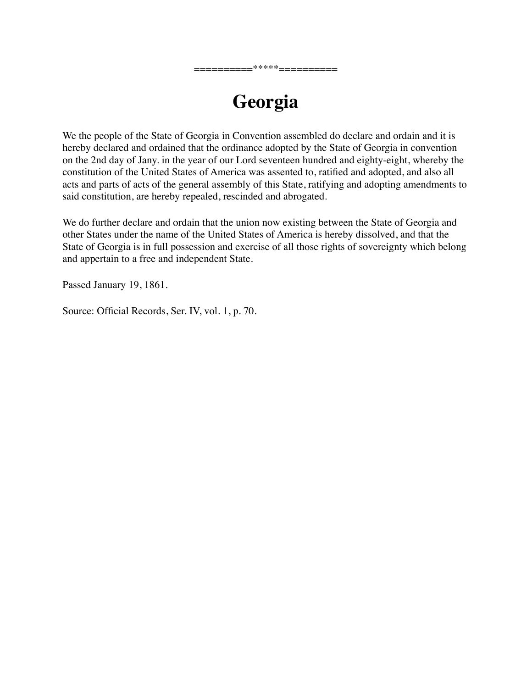==========\*\*\*\*\*==========

We the people of the State of Georgia in Convention assembled do declare and ordain and it is hereby declared and ordained that the ordinance adopted by the State of Georgia in convention on the 2nd day of Jany. in the year of our Lord seventeen hundred and eighty-eight, whereby the constitution of the United States of America was assented to, ratified and adopted, and also all acts and parts of acts of the general assembly of this State, ratifying and adopting amendments to said constitution, are hereby repealed, rescinded and abrogated.

We do further declare and ordain that the union now existing between the State of Georgia and other States under the name of the United States of America is hereby dissolved, and that the State of Georgia is in full possession and exercise of all those rights of sovereignty which belong and appertain to a free and independent State.

Passed January 19, 1861.

Source: Official Records, Ser. IV, vol. 1, p. 70.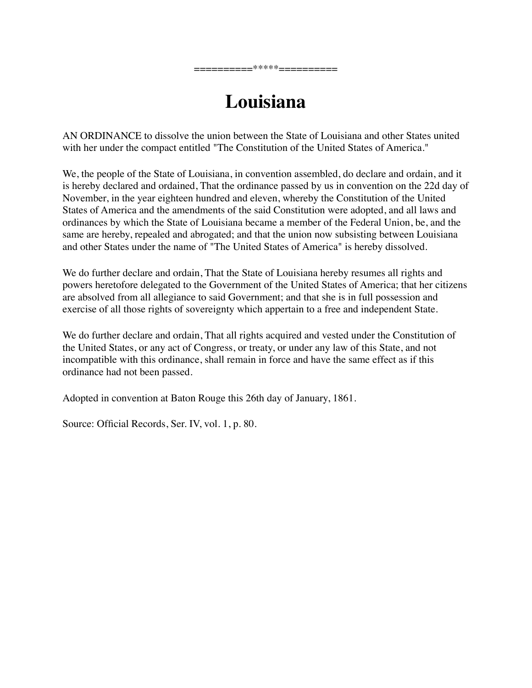#### **Louisiana**

AN ORDINANCE to dissolve the union between the State of Louisiana and other States united with her under the compact entitled "The Constitution of the United States of America."

We, the people of the State of Louisiana, in convention assembled, do declare and ordain, and it is hereby declared and ordained, That the ordinance passed by us in convention on the 22d day of November, in the year eighteen hundred and eleven, whereby the Constitution of the United States of America and the amendments of the said Constitution were adopted, and all laws and ordinances by which the State of Louisiana became a member of the Federal Union, be, and the same are hereby, repealed and abrogated; and that the union now subsisting between Louisiana and other States under the name of "The United States of America" is hereby dissolved.

We do further declare and ordain, That the State of Louisiana hereby resumes all rights and powers heretofore delegated to the Government of the United States of America; that her citizens are absolved from all allegiance to said Government; and that she is in full possession and exercise of all those rights of sovereignty which appertain to a free and independent State.

We do further declare and ordain, That all rights acquired and vested under the Constitution of the United States, or any act of Congress, or treaty, or under any law of this State, and not incompatible with this ordinance, shall remain in force and have the same effect as if this ordinance had not been passed.

Adopted in convention at Baton Rouge this 26th day of January, 1861.

Source: Official Records, Ser. IV, vol. 1, p. 80.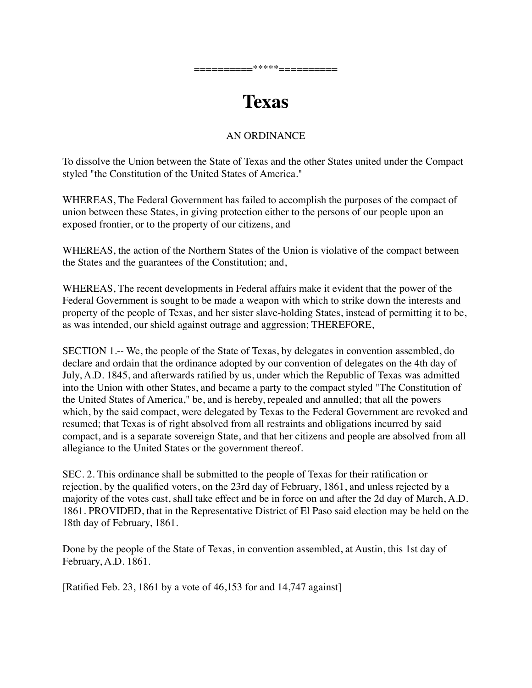# **Texas**

===========\*\*\*\*\*<sub>===========</sub>

#### AN ORDINANCE

To dissolve the Union between the State of Texas and the other States united under the Compact styled "the Constitution of the United States of America."

WHEREAS, The Federal Government has failed to accomplish the purposes of the compact of union between these States, in giving protection either to the persons of our people upon an exposed frontier, or to the property of our citizens, and

WHEREAS, the action of the Northern States of the Union is violative of the compact between the States and the guarantees of the Constitution; and,

WHEREAS, The recent developments in Federal affairs make it evident that the power of the Federal Government is sought to be made a weapon with which to strike down the interests and property of the people of Texas, and her sister slave-holding States, instead of permitting it to be, as was intended, our shield against outrage and aggression; THEREFORE,

SECTION 1.-- We, the people of the State of Texas, by delegates in convention assembled, do declare and ordain that the ordinance adopted by our convention of delegates on the 4th day of July, A.D. 1845, and afterwards ratified by us, under which the Republic of Texas was admitted into the Union with other States, and became a party to the compact styled "The Constitution of the United States of America," be, and is hereby, repealed and annulled; that all the powers which, by the said compact, were delegated by Texas to the Federal Government are revoked and resumed; that Texas is of right absolved from all restraints and obligations incurred by said compact, and is a separate sovereign State, and that her citizens and people are absolved from all allegiance to the United States or the government thereof.

SEC. 2. This ordinance shall be submitted to the people of Texas for their ratification or rejection, by the qualified voters, on the 23rd day of February, 1861, and unless rejected by a majority of the votes cast, shall take effect and be in force on and after the 2d day of March, A.D. 1861. PROVIDED, that in the Representative District of El Paso said election may be held on the 18th day of February, 1861.

Done by the people of the State of Texas, in convention assembled, at Austin, this 1st day of February, A.D. 1861.

[Ratified Feb. 23, 1861 by a vote of 46,153 for and 14,747 against]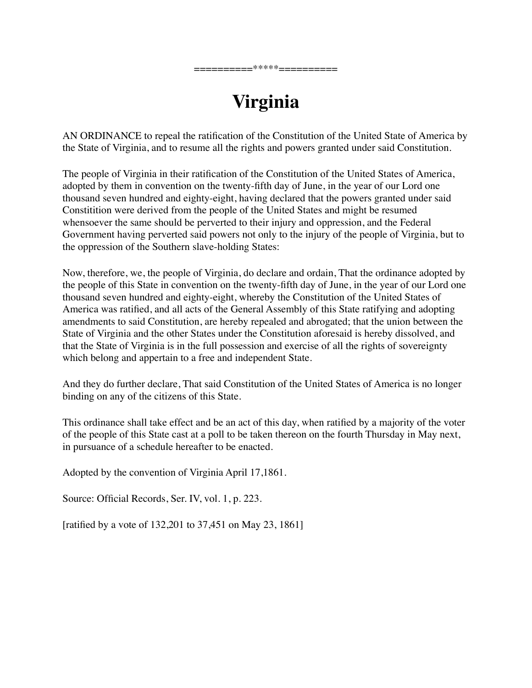===========<sup>\*\*\*\*\*</sup>===========

AN ORDINANCE to repeal the ratification of the Constitution of the United State of America by the State of Virginia, and to resume all the rights and powers granted under said Constitution.

The people of Virginia in their ratification of the Constitution of the United States of America, adopted by them in convention on the twenty-fifth day of June, in the year of our Lord one thousand seven hundred and eighty-eight, having declared that the powers granted under said Constitition were derived from the people of the United States and might be resumed whensoever the same should be perverted to their injury and oppression, and the Federal Government having perverted said powers not only to the injury of the people of Virginia, but to the oppression of the Southern slave-holding States:

Now, therefore, we, the people of Virginia, do declare and ordain, That the ordinance adopted by the people of this State in convention on the twenty-fifth day of June, in the year of our Lord one thousand seven hundred and eighty-eight, whereby the Constitution of the United States of America was ratified, and all acts of the General Assembly of this State ratifying and adopting amendments to said Constitution, are hereby repealed and abrogated; that the union between the State of Virginia and the other States under the Constitution aforesaid is hereby dissolved, and that the State of Virginia is in the full possession and exercise of all the rights of sovereignty which belong and appertain to a free and independent State.

And they do further declare, That said Constitution of the United States of America is no longer binding on any of the citizens of this State.

This ordinance shall take effect and be an act of this day, when ratified by a majority of the voter of the people of this State cast at a poll to be taken thereon on the fourth Thursday in May next, in pursuance of a schedule hereafter to be enacted.

Adopted by the convention of Virginia April 17,1861.

Source: Official Records, Ser. IV, vol. 1, p. 223.

[ratified by a vote of 132,201 to 37,451 on May 23, 1861]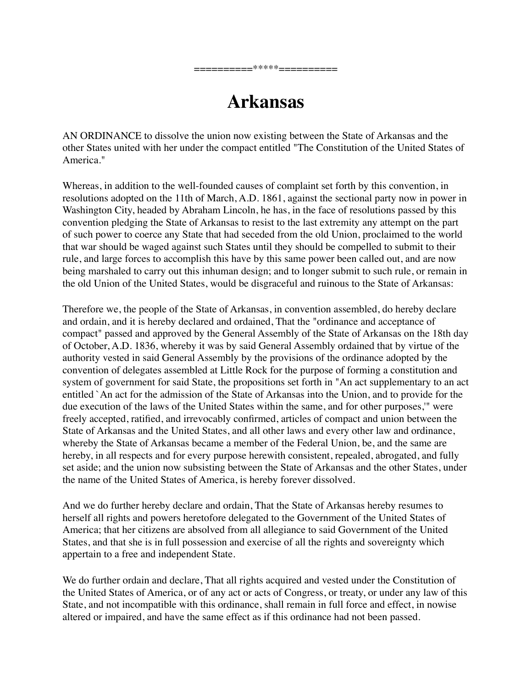#### **Arkansas**

AN ORDINANCE to dissolve the union now existing between the State of Arkansas and the other States united with her under the compact entitled "The Constitution of the United States of America."

Whereas, in addition to the well-founded causes of complaint set forth by this convention, in resolutions adopted on the 11th of March, A.D. 1861, against the sectional party now in power in Washington City, headed by Abraham Lincoln, he has, in the face of resolutions passed by this convention pledging the State of Arkansas to resist to the last extremity any attempt on the part of such power to coerce any State that had seceded from the old Union, proclaimed to the world that war should be waged against such States until they should be compelled to submit to their rule, and large forces to accomplish this have by this same power been called out, and are now being marshaled to carry out this inhuman design; and to longer submit to such rule, or remain in the old Union of the United States, would be disgraceful and ruinous to the State of Arkansas:

Therefore we, the people of the State of Arkansas, in convention assembled, do hereby declare and ordain, and it is hereby declared and ordained, That the "ordinance and acceptance of compact" passed and approved by the General Assembly of the State of Arkansas on the 18th day of October, A.D. 1836, whereby it was by said General Assembly ordained that by virtue of the authority vested in said General Assembly by the provisions of the ordinance adopted by the convention of delegates assembled at Little Rock for the purpose of forming a constitution and system of government for said State, the propositions set forth in "An act supplementary to an act entitled `An act for the admission of the State of Arkansas into the Union, and to provide for the due execution of the laws of the United States within the same, and for other purposes,'" were freely accepted, ratified, and irrevocably confirmed, articles of compact and union between the State of Arkansas and the United States, and all other laws and every other law and ordinance, whereby the State of Arkansas became a member of the Federal Union, be, and the same are hereby, in all respects and for every purpose herewith consistent, repealed, abrogated, and fully set aside; and the union now subsisting between the State of Arkansas and the other States, under the name of the United States of America, is hereby forever dissolved.

And we do further hereby declare and ordain, That the State of Arkansas hereby resumes to herself all rights and powers heretofore delegated to the Government of the United States of America; that her citizens are absolved from all allegiance to said Government of the United States, and that she is in full possession and exercise of all the rights and sovereignty which appertain to a free and independent State.

We do further ordain and declare, That all rights acquired and vested under the Constitution of the United States of America, or of any act or acts of Congress, or treaty, or under any law of this State, and not incompatible with this ordinance, shall remain in full force and effect, in nowise altered or impaired, and have the same effect as if this ordinance had not been passed.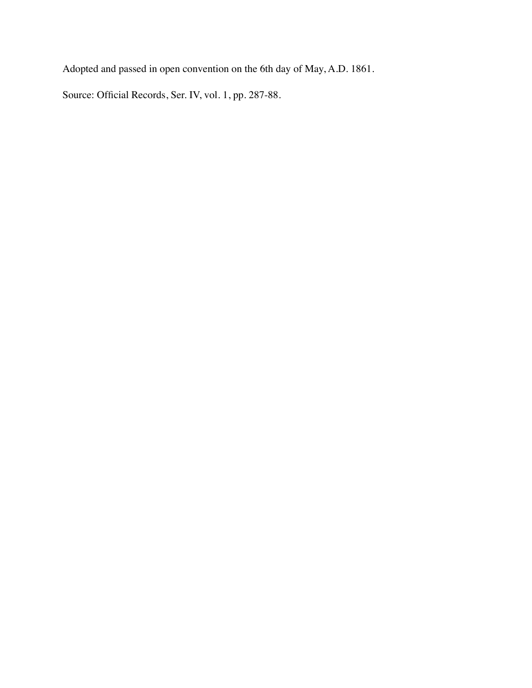Adopted and passed in open convention on the 6th day of May, A.D. 1861.

Source: Official Records, Ser. IV, vol. 1, pp. 287-88.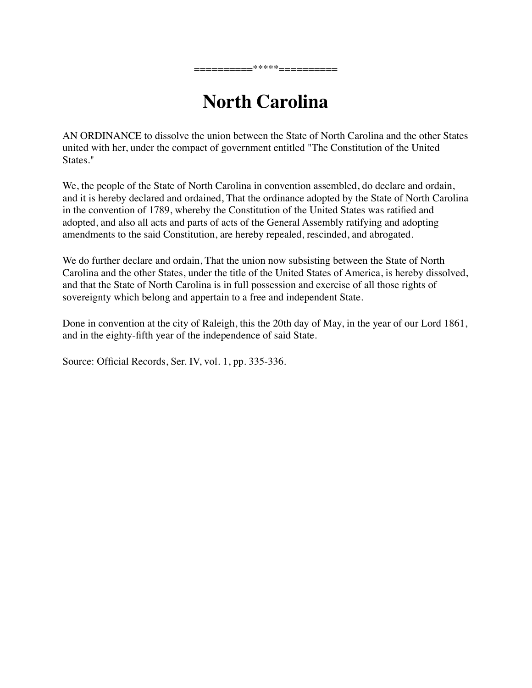===========<sup>\*\*\*\*\*</sup>===========

AN ORDINANCE to dissolve the union between the State of North Carolina and the other States united with her, under the compact of government entitled "The Constitution of the United States."

We, the people of the State of North Carolina in convention assembled, do declare and ordain, and it is hereby declared and ordained, That the ordinance adopted by the State of North Carolina in the convention of 1789, whereby the Constitution of the United States was ratified and adopted, and also all acts and parts of acts of the General Assembly ratifying and adopting amendments to the said Constitution, are hereby repealed, rescinded, and abrogated.

We do further declare and ordain, That the union now subsisting between the State of North Carolina and the other States, under the title of the United States of America, is hereby dissolved, and that the State of North Carolina is in full possession and exercise of all those rights of sovereignty which belong and appertain to a free and independent State.

Done in convention at the city of Raleigh, this the 20th day of May, in the year of our Lord 1861, and in the eighty-fifth year of the independence of said State.

Source: Official Records, Ser. IV, vol. 1, pp. 335-336.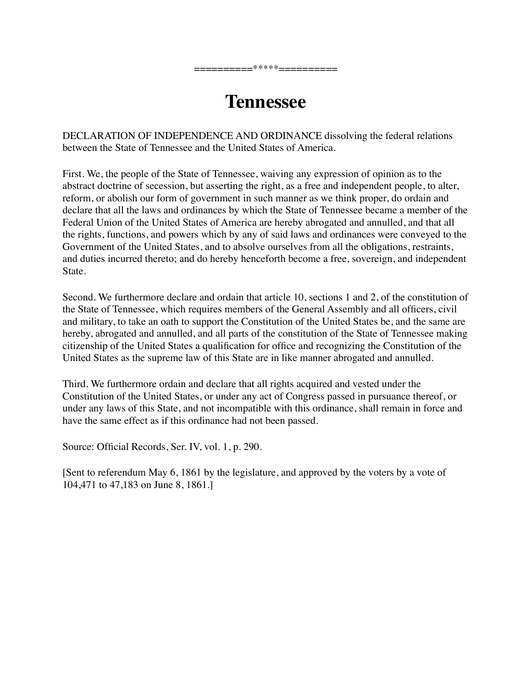:==========<sup>\*\*\*\*\*</sup>===========

DECLARATION OF INDEPENDENCE AND ORDINANCE dissolving the federal relations between the State of Tennessee and the United States of America.

First. We, the people of the State of Tennessee, waiving any expression of opinion as to the abstract doctrine of secession, but asserting the right, as a free and independent people, to alter, reform, or abolish our form of government in such manner as we think proper, do ordain and declare that all the laws and ordinances by which the State of Tennessee became a member of the Federal Union of the United States of America are hereby abrogated and annulled, and that all the rights, functions, and powers which by any of said laws and ordinances were conveyed to the Government of the United States, and to absolve ourselves from all the obligations, restraints, and duties incurred thereto; and do hereby henceforth become a free, sovereign, and independent State.

Second. We furthermore declare and ordain that article 10, sections 1 and 2, of the constitution of the State of Tennessee, which requires members of the General Assembly and all officers, civil and military, to take an oath to support the Constitution of the United States be, and the same are hereby, abrogated and annulled, and all parts of the constitution of the State of Tennessee making citizenship of the United States a qualification for office and recognizing the Constitution of the United States as the supreme law of this State are in like manner abrogated and annulled.

Third. We furthermore ordain and declare that all rights acquired and vested under the Constitution of the United States, or under any act of Congress passed in pursuance thereof, or under any laws of this State, and not incompatible with this ordinance, shall remain in force and have the same effect as if this ordinance had not been passed.

Source: Official Records, Ser. IV, vol. 1, p. 290.

[Sent to referendum May 6, 1861 by the legislature, and approved by the voters by a vote of 104,471 to 47,183 on June 8, 1861.]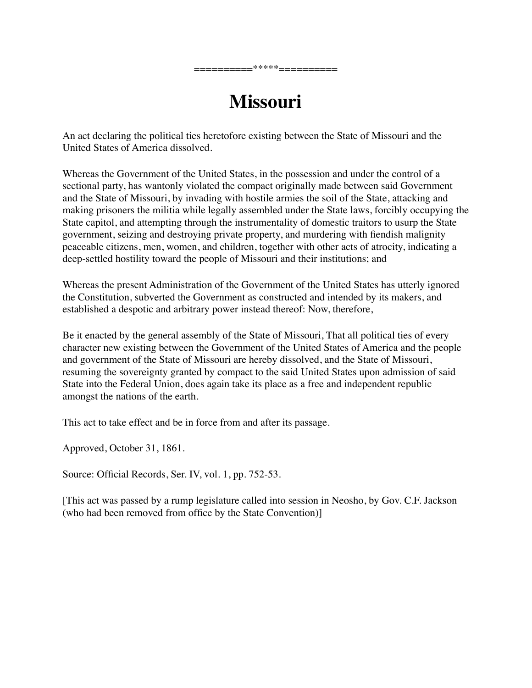==========\*\*\*\*\*==========

An act declaring the political ties heretofore existing between the State of Missouri and the United States of America dissolved.

Whereas the Government of the United States, in the possession and under the control of a sectional party, has wantonly violated the compact originally made between said Government and the State of Missouri, by invading with hostile armies the soil of the State, attacking and making prisoners the militia while legally assembled under the State laws, forcibly occupying the State capitol, and attempting through the instrumentality of domestic traitors to usurp the State government, seizing and destroying private property, and murdering with fiendish malignity peaceable citizens, men, women, and children, together with other acts of atrocity, indicating a deep-settled hostility toward the people of Missouri and their institutions; and

Whereas the present Administration of the Government of the United States has utterly ignored the Constitution, subverted the Government as constructed and intended by its makers, and established a despotic and arbitrary power instead thereof: Now, therefore,

Be it enacted by the general assembly of the State of Missouri, That all political ties of every character new existing between the Government of the United States of America and the people and government of the State of Missouri are hereby dissolved, and the State of Missouri, resuming the sovereignty granted by compact to the said United States upon admission of said State into the Federal Union, does again take its place as a free and independent republic amongst the nations of the earth.

This act to take effect and be in force from and after its passage.

Approved, October 31, 1861.

Source: Official Records, Ser. IV, vol. 1, pp. 752-53.

[This act was passed by a rump legislature called into session in Neosho, by Gov. C.F. Jackson (who had been removed from office by the State Convention)]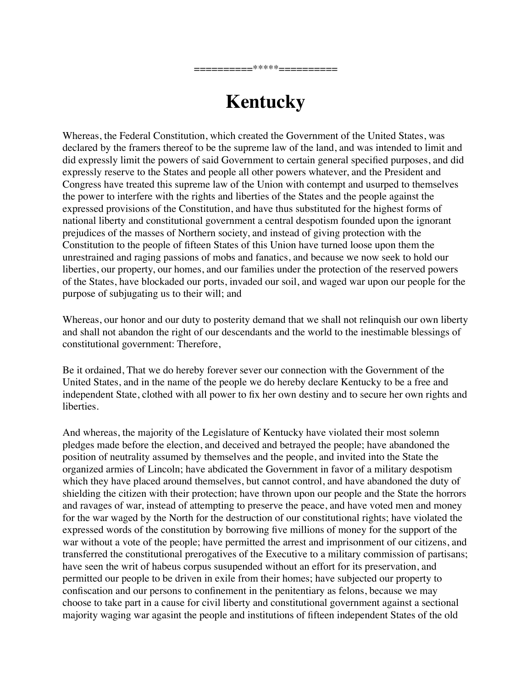==========<sup>\*\*\*\*\*</sup>===========

Whereas, the Federal Constitution, which created the Government of the United States, was declared by the framers thereof to be the supreme law of the land, and was intended to limit and did expressly limit the powers of said Government to certain general specified purposes, and did expressly reserve to the States and people all other powers whatever, and the President and Congress have treated this supreme law of the Union with contempt and usurped to themselves the power to interfere with the rights and liberties of the States and the people against the expressed provisions of the Constitution, and have thus substituted for the highest forms of national liberty and constitutional government a central despotism founded upon the ignorant prejudices of the masses of Northern society, and instead of giving protection with the Constitution to the people of fifteen States of this Union have turned loose upon them the unrestrained and raging passions of mobs and fanatics, and because we now seek to hold our liberties, our property, our homes, and our families under the protection of the reserved powers of the States, have blockaded our ports, invaded our soil, and waged war upon our people for the purpose of subjugating us to their will; and

Whereas, our honor and our duty to posterity demand that we shall not relinquish our own liberty and shall not abandon the right of our descendants and the world to the inestimable blessings of constitutional government: Therefore,

Be it ordained, That we do hereby forever sever our connection with the Government of the United States, and in the name of the people we do hereby declare Kentucky to be a free and independent State, clothed with all power to fix her own destiny and to secure her own rights and liberties.

And whereas, the majority of the Legislature of Kentucky have violated their most solemn pledges made before the election, and deceived and betrayed the people; have abandoned the position of neutrality assumed by themselves and the people, and invited into the State the organized armies of Lincoln; have abdicated the Government in favor of a military despotism which they have placed around themselves, but cannot control, and have abandoned the duty of shielding the citizen with their protection; have thrown upon our people and the State the horrors and ravages of war, instead of attempting to preserve the peace, and have voted men and money for the war waged by the North for the destruction of our constitutional rights; have violated the expressed words of the constitution by borrowing five millions of money for the support of the war without a vote of the people; have permitted the arrest and imprisonment of our citizens, and transferred the constitutional prerogatives of the Executive to a military commission of partisans; have seen the writ of habeus corpus susupended without an effort for its preservation, and permitted our people to be driven in exile from their homes; have subjected our property to confiscation and our persons to confinement in the penitentiary as felons, because we may choose to take part in a cause for civil liberty and constitutional government against a sectional majority waging war agasint the people and institutions of fifteen independent States of the old